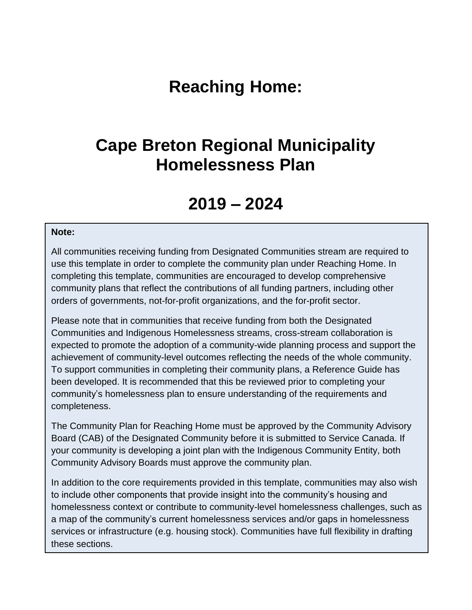# **Reaching Home:**

# **Cape Breton Regional Municipality Homelessness Plan**

# **2019 – 2024**

#### **Note:**

All communities receiving funding from Designated Communities stream are required to use this template in order to complete the community plan under Reaching Home. In completing this template, communities are encouraged to develop comprehensive community plans that reflect the contributions of all funding partners, including other orders of governments, not-for-profit organizations, and the for-profit sector.

Please note that in communities that receive funding from both the Designated Communities and Indigenous Homelessness streams, cross-stream collaboration is expected to promote the adoption of a community-wide planning process and support the achievement of community-level outcomes reflecting the needs of the whole community. To support communities in completing their community plans, a Reference Guide has been developed. It is recommended that this be reviewed prior to completing your community's homelessness plan to ensure understanding of the requirements and completeness.

The Community Plan for Reaching Home must be approved by the Community Advisory Board (CAB) of the Designated Community before it is submitted to Service Canada. If your community is developing a joint plan with the Indigenous Community Entity, both Community Advisory Boards must approve the community plan.

In addition to the core requirements provided in this template, communities may also wish to include other components that provide insight into the community's housing and homelessness context or contribute to community-level homelessness challenges, such as a map of the community's current homelessness services and/or gaps in homelessness services or infrastructure (e.g. housing stock). Communities have full flexibility in drafting these sections.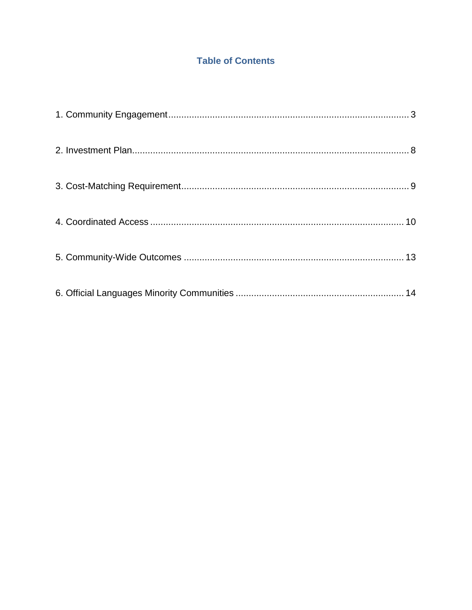# **Table of Contents**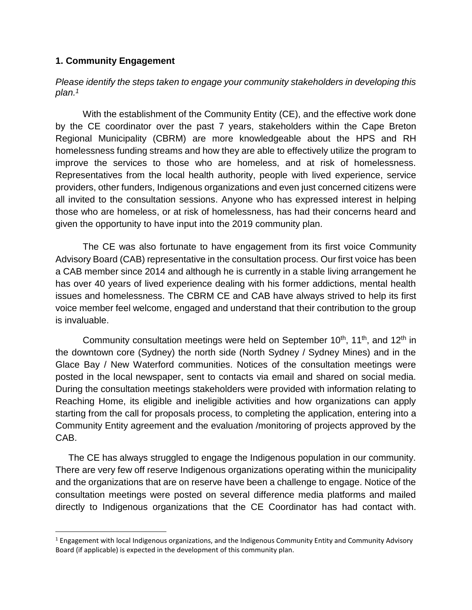### <span id="page-2-0"></span>**1. Community Engagement**

 $\overline{\phantom{a}}$ 

*Please identify the steps taken to engage your community stakeholders in developing this plan. 1*

With the establishment of the Community Entity (CE), and the effective work done by the CE coordinator over the past 7 years, stakeholders within the Cape Breton Regional Municipality (CBRM) are more knowledgeable about the HPS and RH homelessness funding streams and how they are able to effectively utilize the program to improve the services to those who are homeless, and at risk of homelessness. Representatives from the local health authority, people with lived experience, service providers, other funders, Indigenous organizations and even just concerned citizens were all invited to the consultation sessions. Anyone who has expressed interest in helping those who are homeless, or at risk of homelessness, has had their concerns heard and given the opportunity to have input into the 2019 community plan.

The CE was also fortunate to have engagement from its first voice Community Advisory Board (CAB) representative in the consultation process. Our first voice has been a CAB member since 2014 and although he is currently in a stable living arrangement he has over 40 years of lived experience dealing with his former addictions, mental health issues and homelessness. The CBRM CE and CAB have always strived to help its first voice member feel welcome, engaged and understand that their contribution to the group is invaluable.

Community consultation meetings were held on September  $10<sup>th</sup>$ ,  $11<sup>th</sup>$ , and  $12<sup>th</sup>$  in the downtown core (Sydney) the north side (North Sydney / Sydney Mines) and in the Glace Bay / New Waterford communities. Notices of the consultation meetings were posted in the local newspaper, sent to contacts via email and shared on social media. During the consultation meetings stakeholders were provided with information relating to Reaching Home, its eligible and ineligible activities and how organizations can apply starting from the call for proposals process, to completing the application, entering into a Community Entity agreement and the evaluation /monitoring of projects approved by the CAB.

 The CE has always struggled to engage the Indigenous population in our community. There are very few off reserve Indigenous organizations operating within the municipality and the organizations that are on reserve have been a challenge to engage. Notice of the consultation meetings were posted on several difference media platforms and mailed directly to Indigenous organizations that the CE Coordinator has had contact with.

 $1$  Engagement with local Indigenous organizations, and the Indigenous Community Entity and Community Advisory Board (if applicable) is expected in the development of this community plan.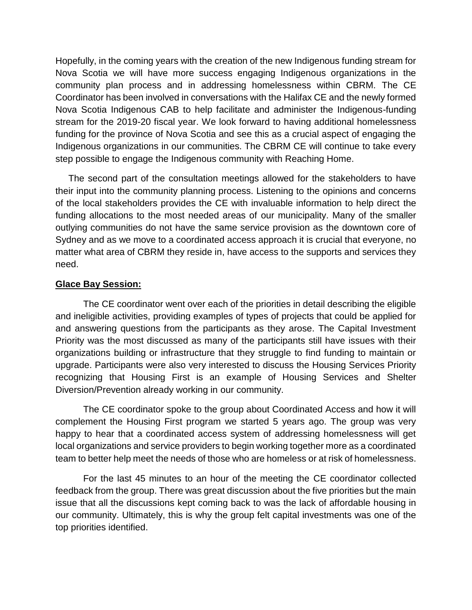Hopefully, in the coming years with the creation of the new Indigenous funding stream for Nova Scotia we will have more success engaging Indigenous organizations in the community plan process and in addressing homelessness within CBRM. The CE Coordinator has been involved in conversations with the Halifax CE and the newly formed Nova Scotia Indigenous CAB to help facilitate and administer the Indigenous-funding stream for the 2019-20 fiscal year. We look forward to having additional homelessness funding for the province of Nova Scotia and see this as a crucial aspect of engaging the Indigenous organizations in our communities. The CBRM CE will continue to take every step possible to engage the Indigenous community with Reaching Home.

 The second part of the consultation meetings allowed for the stakeholders to have their input into the community planning process. Listening to the opinions and concerns of the local stakeholders provides the CE with invaluable information to help direct the funding allocations to the most needed areas of our municipality. Many of the smaller outlying communities do not have the same service provision as the downtown core of Sydney and as we move to a coordinated access approach it is crucial that everyone, no matter what area of CBRM they reside in, have access to the supports and services they need.

### **Glace Bay Session:**

The CE coordinator went over each of the priorities in detail describing the eligible and ineligible activities, providing examples of types of projects that could be applied for and answering questions from the participants as they arose. The Capital Investment Priority was the most discussed as many of the participants still have issues with their organizations building or infrastructure that they struggle to find funding to maintain or upgrade. Participants were also very interested to discuss the Housing Services Priority recognizing that Housing First is an example of Housing Services and Shelter Diversion/Prevention already working in our community.

The CE coordinator spoke to the group about Coordinated Access and how it will complement the Housing First program we started 5 years ago. The group was very happy to hear that a coordinated access system of addressing homelessness will get local organizations and service providers to begin working together more as a coordinated team to better help meet the needs of those who are homeless or at risk of homelessness.

For the last 45 minutes to an hour of the meeting the CE coordinator collected feedback from the group. There was great discussion about the five priorities but the main issue that all the discussions kept coming back to was the lack of affordable housing in our community. Ultimately, this is why the group felt capital investments was one of the top priorities identified.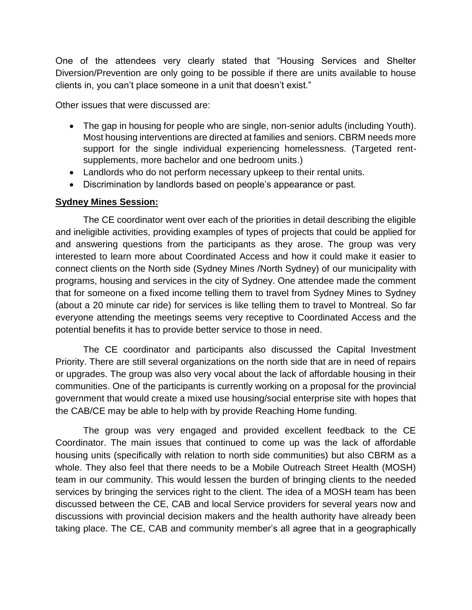One of the attendees very clearly stated that "Housing Services and Shelter Diversion/Prevention are only going to be possible if there are units available to house clients in, you can't place someone in a unit that doesn't exist."

Other issues that were discussed are:

- The gap in housing for people who are single, non-senior adults (including Youth). Most housing interventions are directed at families and seniors. CBRM needs more support for the single individual experiencing homelessness. (Targeted rentsupplements, more bachelor and one bedroom units.)
- Landlords who do not perform necessary upkeep to their rental units.
- Discrimination by landlords based on people's appearance or past.

### **Sydney Mines Session:**

The CE coordinator went over each of the priorities in detail describing the eligible and ineligible activities, providing examples of types of projects that could be applied for and answering questions from the participants as they arose. The group was very interested to learn more about Coordinated Access and how it could make it easier to connect clients on the North side (Sydney Mines /North Sydney) of our municipality with programs, housing and services in the city of Sydney. One attendee made the comment that for someone on a fixed income telling them to travel from Sydney Mines to Sydney (about a 20 minute car ride) for services is like telling them to travel to Montreal. So far everyone attending the meetings seems very receptive to Coordinated Access and the potential benefits it has to provide better service to those in need.

The CE coordinator and participants also discussed the Capital Investment Priority. There are still several organizations on the north side that are in need of repairs or upgrades. The group was also very vocal about the lack of affordable housing in their communities. One of the participants is currently working on a proposal for the provincial government that would create a mixed use housing/social enterprise site with hopes that the CAB/CE may be able to help with by provide Reaching Home funding.

The group was very engaged and provided excellent feedback to the CE Coordinator. The main issues that continued to come up was the lack of affordable housing units (specifically with relation to north side communities) but also CBRM as a whole. They also feel that there needs to be a Mobile Outreach Street Health (MOSH) team in our community. This would lessen the burden of bringing clients to the needed services by bringing the services right to the client. The idea of a MOSH team has been discussed between the CE, CAB and local Service providers for several years now and discussions with provincial decision makers and the health authority have already been taking place. The CE, CAB and community member's all agree that in a geographically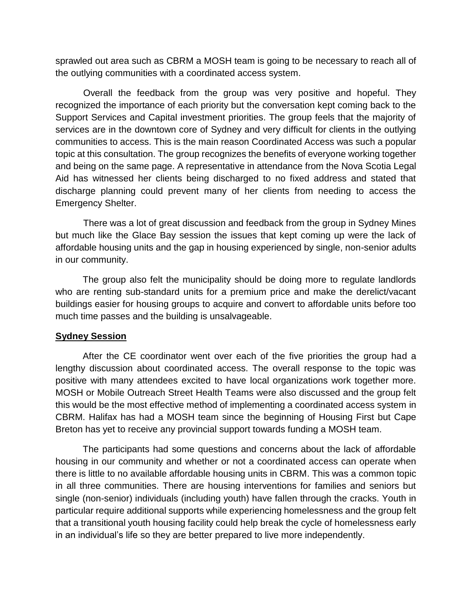sprawled out area such as CBRM a MOSH team is going to be necessary to reach all of the outlying communities with a coordinated access system.

Overall the feedback from the group was very positive and hopeful. They recognized the importance of each priority but the conversation kept coming back to the Support Services and Capital investment priorities. The group feels that the majority of services are in the downtown core of Sydney and very difficult for clients in the outlying communities to access. This is the main reason Coordinated Access was such a popular topic at this consultation. The group recognizes the benefits of everyone working together and being on the same page. A representative in attendance from the Nova Scotia Legal Aid has witnessed her clients being discharged to no fixed address and stated that discharge planning could prevent many of her clients from needing to access the Emergency Shelter.

There was a lot of great discussion and feedback from the group in Sydney Mines but much like the Glace Bay session the issues that kept coming up were the lack of affordable housing units and the gap in housing experienced by single, non-senior adults in our community.

The group also felt the municipality should be doing more to regulate landlords who are renting sub-standard units for a premium price and make the derelict/vacant buildings easier for housing groups to acquire and convert to affordable units before too much time passes and the building is unsalvageable.

### **Sydney Session**

After the CE coordinator went over each of the five priorities the group had a lengthy discussion about coordinated access. The overall response to the topic was positive with many attendees excited to have local organizations work together more. MOSH or Mobile Outreach Street Health Teams were also discussed and the group felt this would be the most effective method of implementing a coordinated access system in CBRM. Halifax has had a MOSH team since the beginning of Housing First but Cape Breton has yet to receive any provincial support towards funding a MOSH team.

The participants had some questions and concerns about the lack of affordable housing in our community and whether or not a coordinated access can operate when there is little to no available affordable housing units in CBRM. This was a common topic in all three communities. There are housing interventions for families and seniors but single (non-senior) individuals (including youth) have fallen through the cracks. Youth in particular require additional supports while experiencing homelessness and the group felt that a transitional youth housing facility could help break the cycle of homelessness early in an individual's life so they are better prepared to live more independently.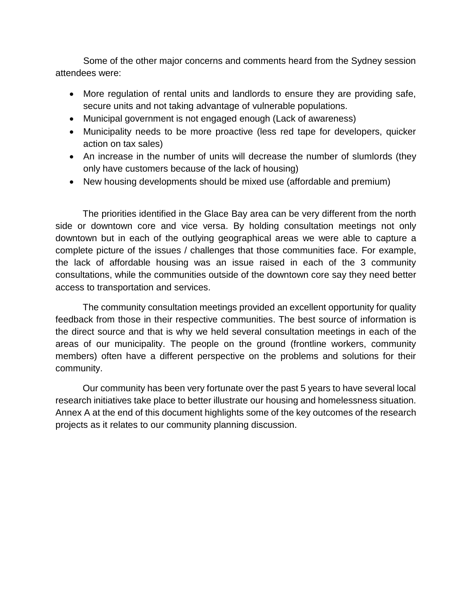Some of the other major concerns and comments heard from the Sydney session attendees were:

- More regulation of rental units and landlords to ensure they are providing safe, secure units and not taking advantage of vulnerable populations.
- Municipal government is not engaged enough (Lack of awareness)
- Municipality needs to be more proactive (less red tape for developers, quicker action on tax sales)
- An increase in the number of units will decrease the number of slumlords (they only have customers because of the lack of housing)
- New housing developments should be mixed use (affordable and premium)

The priorities identified in the Glace Bay area can be very different from the north side or downtown core and vice versa. By holding consultation meetings not only downtown but in each of the outlying geographical areas we were able to capture a complete picture of the issues / challenges that those communities face. For example, the lack of affordable housing was an issue raised in each of the 3 community consultations, while the communities outside of the downtown core say they need better access to transportation and services.

The community consultation meetings provided an excellent opportunity for quality feedback from those in their respective communities. The best source of information is the direct source and that is why we held several consultation meetings in each of the areas of our municipality. The people on the ground (frontline workers, community members) often have a different perspective on the problems and solutions for their community.

Our community has been very fortunate over the past 5 years to have several local research initiatives take place to better illustrate our housing and homelessness situation. Annex A at the end of this document highlights some of the key outcomes of the research projects as it relates to our community planning discussion.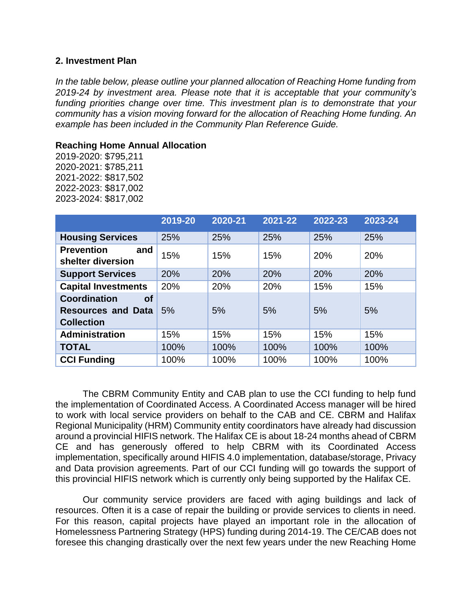#### <span id="page-7-0"></span>**2. Investment Plan**

*In the table below, please outline your planned allocation of Reaching Home funding from 2019-24 by investment area. Please note that it is acceptable that your community's funding priorities change over time. This investment plan is to demonstrate that your community has a vision moving forward for the allocation of Reaching Home funding. An example has been included in the Community Plan Reference Guide.* 

#### **Reaching Home Annual Allocation**

2019-2020: \$795,211 2020-2021: \$785,211 2021-2022: \$817,502 2022-2023: \$817,002 2023-2024: \$817,002

|                                                                                    | 2019-20 | 2020-21 | 2021-22 | 2022-23 | 2023-24 |
|------------------------------------------------------------------------------------|---------|---------|---------|---------|---------|
| <b>Housing Services</b>                                                            | 25%     | 25%     | 25%     | 25%     | 25%     |
| <b>Prevention</b><br>and<br>shelter diversion                                      | 15%     | 15%     | 15%     | 20%     | 20%     |
| <b>Support Services</b>                                                            | 20%     | 20%     | 20%     | 20%     | 20%     |
| <b>Capital Investments</b>                                                         | 20%     | 20%     | 20%     | 15%     | 15%     |
| <b>Coordination</b><br><b>of</b><br><b>Resources and Data</b><br><b>Collection</b> | 5%      | 5%      | 5%      | 5%      | 5%      |
| <b>Administration</b>                                                              | 15%     | 15%     | 15%     | 15%     | 15%     |
| <b>TOTAL</b>                                                                       | 100%    | 100%    | 100%    | 100%    | 100%    |
| <b>CCI Funding</b>                                                                 | 100%    | 100%    | 100%    | 100%    | 100%    |

The CBRM Community Entity and CAB plan to use the CCI funding to help fund the implementation of Coordinated Access. A Coordinated Access manager will be hired to work with local service providers on behalf to the CAB and CE. CBRM and Halifax Regional Municipality (HRM) Community entity coordinators have already had discussion around a provincial HIFIS network. The Halifax CE is about 18-24 months ahead of CBRM CE and has generously offered to help CBRM with its Coordinated Access implementation, specifically around HIFIS 4.0 implementation, database/storage, Privacy and Data provision agreements. Part of our CCI funding will go towards the support of this provincial HIFIS network which is currently only being supported by the Halifax CE.

Our community service providers are faced with aging buildings and lack of resources. Often it is a case of repair the building or provide services to clients in need. For this reason, capital projects have played an important role in the allocation of Homelessness Partnering Strategy (HPS) funding during 2014-19. The CE/CAB does not foresee this changing drastically over the next few years under the new Reaching Home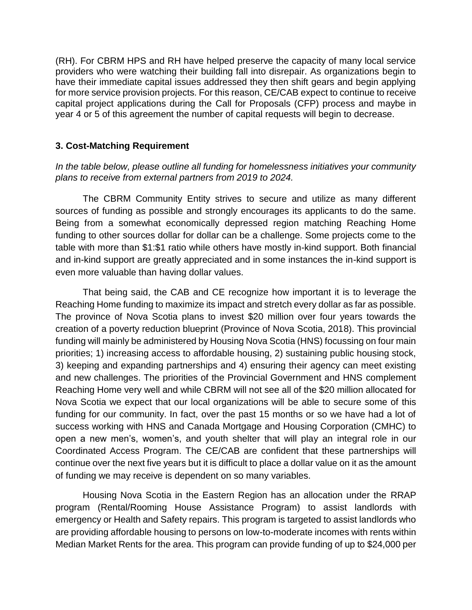(RH). For CBRM HPS and RH have helped preserve the capacity of many local service providers who were watching their building fall into disrepair. As organizations begin to have their immediate capital issues addressed they then shift gears and begin applying for more service provision projects. For this reason, CE/CAB expect to continue to receive capital project applications during the Call for Proposals (CFP) process and maybe in year 4 or 5 of this agreement the number of capital requests will begin to decrease.

## <span id="page-8-0"></span>**3. Cost-Matching Requirement**

*In the table below, please outline all funding for homelessness initiatives your community plans to receive from external partners from 2019 to 2024.* 

The CBRM Community Entity strives to secure and utilize as many different sources of funding as possible and strongly encourages its applicants to do the same. Being from a somewhat economically depressed region matching Reaching Home funding to other sources dollar for dollar can be a challenge. Some projects come to the table with more than \$1:\$1 ratio while others have mostly in-kind support. Both financial and in-kind support are greatly appreciated and in some instances the in-kind support is even more valuable than having dollar values.

That being said, the CAB and CE recognize how important it is to leverage the Reaching Home funding to maximize its impact and stretch every dollar as far as possible. The province of Nova Scotia plans to invest \$20 million over four years towards the creation of a poverty reduction blueprint (Province of Nova Scotia, 2018). This provincial funding will mainly be administered by Housing Nova Scotia (HNS) focussing on four main priorities; 1) increasing access to affordable housing, 2) sustaining public housing stock, 3) keeping and expanding partnerships and 4) ensuring their agency can meet existing and new challenges. The priorities of the Provincial Government and HNS complement Reaching Home very well and while CBRM will not see all of the \$20 million allocated for Nova Scotia we expect that our local organizations will be able to secure some of this funding for our community. In fact, over the past 15 months or so we have had a lot of success working with HNS and Canada Mortgage and Housing Corporation (CMHC) to open a new men's, women's, and youth shelter that will play an integral role in our Coordinated Access Program. The CE/CAB are confident that these partnerships will continue over the next five years but it is difficult to place a dollar value on it as the amount of funding we may receive is dependent on so many variables.

Housing Nova Scotia in the Eastern Region has an allocation under the RRAP program (Rental/Rooming House Assistance Program) to assist landlords with emergency or Health and Safety repairs. This program is targeted to assist landlords who are providing affordable housing to persons on low-to-moderate incomes with rents within Median Market Rents for the area. This program can provide funding of up to \$24,000 per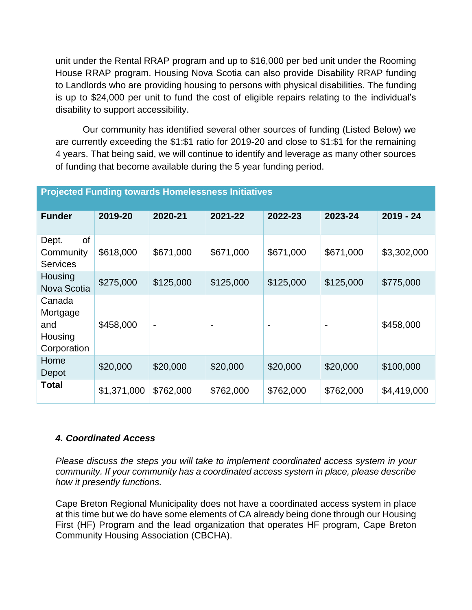unit under the Rental RRAP program and up to \$16,000 per bed unit under the Rooming House RRAP program. Housing Nova Scotia can also provide Disability RRAP funding to Landlords who are providing housing to persons with physical disabilities. The funding is up to \$24,000 per unit to fund the cost of eligible repairs relating to the individual's disability to support accessibility.

Our community has identified several other sources of funding (Listed Below) we are currently exceeding the \$1:\$1 ratio for 2019-20 and close to \$1:\$1 for the remaining 4 years. That being said, we will continue to identify and leverage as many other sources of funding that become available during the 5 year funding period.

| <b>Funder</b>                                       | 2019-20     | 2020-21                  | 2021-22   | 2022-23   | 2023-24        | $2019 - 24$ |
|-----------------------------------------------------|-------------|--------------------------|-----------|-----------|----------------|-------------|
| οf<br>Dept.<br>Community<br><b>Services</b>         | \$618,000   | \$671,000                | \$671,000 | \$671,000 | \$671,000      | \$3,302,000 |
| Housing<br>Nova Scotia                              | \$275,000   | \$125,000                | \$125,000 | \$125,000 | \$125,000      | \$775,000   |
| Canada<br>Mortgage<br>and<br>Housing<br>Corporation | \$458,000   | $\overline{\phantom{0}}$ |           |           | $\blacksquare$ | \$458,000   |
| Home<br>Depot                                       | \$20,000    | \$20,000                 | \$20,000  | \$20,000  | \$20,000       | \$100,000   |
| Total                                               | \$1,371,000 | \$762,000                | \$762,000 | \$762,000 | \$762,000      | \$4,419,000 |

### **Projected Funding towards Homelessness Initiatives**

### <span id="page-9-0"></span>*4. Coordinated Access*

*Please discuss the steps you will take to implement coordinated access system in your community. If your community has a coordinated access system in place, please describe how it presently functions.* 

Cape Breton Regional Municipality does not have a coordinated access system in place at this time but we do have some elements of CA already being done through our Housing First (HF) Program and the lead organization that operates HF program, Cape Breton Community Housing Association (CBCHA).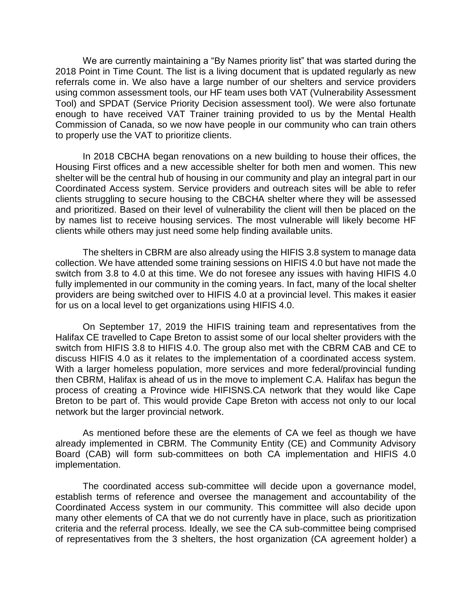We are currently maintaining a "By Names priority list" that was started during the 2018 Point in Time Count. The list is a living document that is updated regularly as new referrals come in. We also have a large number of our shelters and service providers using common assessment tools, our HF team uses both VAT (Vulnerability Assessment Tool) and SPDAT (Service Priority Decision assessment tool). We were also fortunate enough to have received VAT Trainer training provided to us by the Mental Health Commission of Canada, so we now have people in our community who can train others to properly use the VAT to prioritize clients.

In 2018 CBCHA began renovations on a new building to house their offices, the Housing First offices and a new accessible shelter for both men and women. This new shelter will be the central hub of housing in our community and play an integral part in our Coordinated Access system. Service providers and outreach sites will be able to refer clients struggling to secure housing to the CBCHA shelter where they will be assessed and prioritized. Based on their level of vulnerability the client will then be placed on the by names list to receive housing services. The most vulnerable will likely become HF clients while others may just need some help finding available units.

The shelters in CBRM are also already using the HIFIS 3.8 system to manage data collection. We have attended some training sessions on HIFIS 4.0 but have not made the switch from 3.8 to 4.0 at this time. We do not foresee any issues with having HIFIS 4.0 fully implemented in our community in the coming years. In fact, many of the local shelter providers are being switched over to HIFIS 4.0 at a provincial level. This makes it easier for us on a local level to get organizations using HIFIS 4.0.

On September 17, 2019 the HIFIS training team and representatives from the Halifax CE travelled to Cape Breton to assist some of our local shelter providers with the switch from HIFIS 3.8 to HIFIS 4.0. The group also met with the CBRM CAB and CE to discuss HIFIS 4.0 as it relates to the implementation of a coordinated access system. With a larger homeless population, more services and more federal/provincial funding then CBRM, Halifax is ahead of us in the move to implement C.A. Halifax has begun the process of creating a Province wide HIFISNS.CA network that they would like Cape Breton to be part of. This would provide Cape Breton with access not only to our local network but the larger provincial network.

As mentioned before these are the elements of CA we feel as though we have already implemented in CBRM. The Community Entity (CE) and Community Advisory Board (CAB) will form sub-committees on both CA implementation and HIFIS 4.0 implementation.

The coordinated access sub-committee will decide upon a governance model, establish terms of reference and oversee the management and accountability of the Coordinated Access system in our community. This committee will also decide upon many other elements of CA that we do not currently have in place, such as prioritization criteria and the referral process. Ideally, we see the CA sub-committee being comprised of representatives from the 3 shelters, the host organization (CA agreement holder) a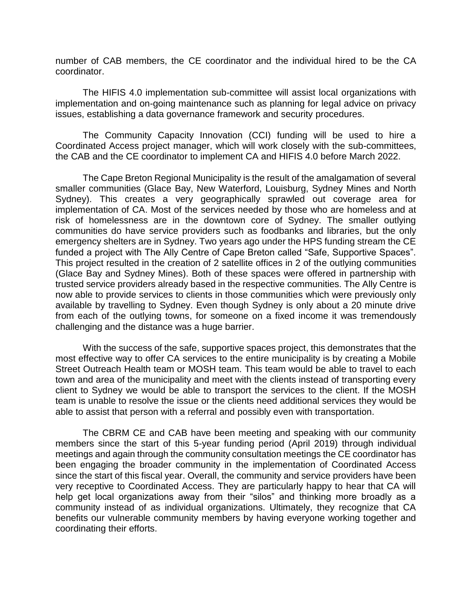number of CAB members, the CE coordinator and the individual hired to be the CA coordinator.

The HIFIS 4.0 implementation sub-committee will assist local organizations with implementation and on-going maintenance such as planning for legal advice on privacy issues, establishing a data governance framework and security procedures.

The Community Capacity Innovation (CCI) funding will be used to hire a Coordinated Access project manager, which will work closely with the sub-committees, the CAB and the CE coordinator to implement CA and HIFIS 4.0 before March 2022.

The Cape Breton Regional Municipality is the result of the amalgamation of several smaller communities (Glace Bay, New Waterford, Louisburg, Sydney Mines and North Sydney). This creates a very geographically sprawled out coverage area for implementation of CA. Most of the services needed by those who are homeless and at risk of homelessness are in the downtown core of Sydney. The smaller outlying communities do have service providers such as foodbanks and libraries, but the only emergency shelters are in Sydney. Two years ago under the HPS funding stream the CE funded a project with The Ally Centre of Cape Breton called "Safe, Supportive Spaces". This project resulted in the creation of 2 satellite offices in 2 of the outlying communities (Glace Bay and Sydney Mines). Both of these spaces were offered in partnership with trusted service providers already based in the respective communities. The Ally Centre is now able to provide services to clients in those communities which were previously only available by travelling to Sydney. Even though Sydney is only about a 20 minute drive from each of the outlying towns, for someone on a fixed income it was tremendously challenging and the distance was a huge barrier.

With the success of the safe, supportive spaces project, this demonstrates that the most effective way to offer CA services to the entire municipality is by creating a Mobile Street Outreach Health team or MOSH team. This team would be able to travel to each town and area of the municipality and meet with the clients instead of transporting every client to Sydney we would be able to transport the services to the client. If the MOSH team is unable to resolve the issue or the clients need additional services they would be able to assist that person with a referral and possibly even with transportation.

The CBRM CE and CAB have been meeting and speaking with our community members since the start of this 5-year funding period (April 2019) through individual meetings and again through the community consultation meetings the CE coordinator has been engaging the broader community in the implementation of Coordinated Access since the start of this fiscal year. Overall, the community and service providers have been very receptive to Coordinated Access. They are particularly happy to hear that CA will help get local organizations away from their "silos" and thinking more broadly as a community instead of as individual organizations. Ultimately, they recognize that CA benefits our vulnerable community members by having everyone working together and coordinating their efforts.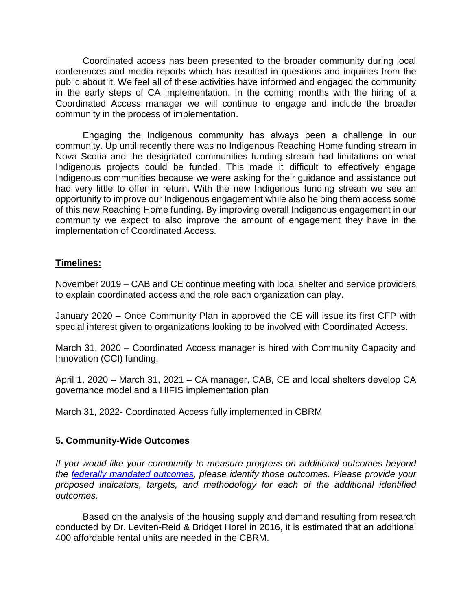Coordinated access has been presented to the broader community during local conferences and media reports which has resulted in questions and inquiries from the public about it. We feel all of these activities have informed and engaged the community in the early steps of CA implementation. In the coming months with the hiring of a Coordinated Access manager we will continue to engage and include the broader community in the process of implementation.

Engaging the Indigenous community has always been a challenge in our community. Up until recently there was no Indigenous Reaching Home funding stream in Nova Scotia and the designated communities funding stream had limitations on what Indigenous projects could be funded. This made it difficult to effectively engage Indigenous communities because we were asking for their guidance and assistance but had very little to offer in return. With the new Indigenous funding stream we see an opportunity to improve our Indigenous engagement while also helping them access some of this new Reaching Home funding. By improving overall Indigenous engagement in our community we expect to also improve the amount of engagement they have in the implementation of Coordinated Access.

### **Timelines:**

November 2019 – CAB and CE continue meeting with local shelter and service providers to explain coordinated access and the role each organization can play.

January 2020 – Once Community Plan in approved the CE will issue its first CFP with special interest given to organizations looking to be involved with Coordinated Access.

March 31, 2020 – Coordinated Access manager is hired with Community Capacity and Innovation (CCI) funding.

April 1, 2020 – March 31, 2021 – CA manager, CAB, CE and local shelters develop CA governance model and a HIFIS implementation plan

<span id="page-12-0"></span>March 31, 2022- Coordinated Access fully implemented in CBRM

### **5. Community-Wide Outcomes**

*If you would like your community to measure progress on additional outcomes beyond the [federally mandated outcomes,](https://www.canada.ca/en/employment-social-development/programs/homelessness/directives.html#h2.3-h3.3) please identify those outcomes. Please provide your proposed indicators, targets, and methodology for each of the additional identified outcomes.* 

Based on the analysis of the housing supply and demand resulting from research conducted by Dr. Leviten-Reid & Bridget Horel in 2016, it is estimated that an additional 400 affordable rental units are needed in the CBRM.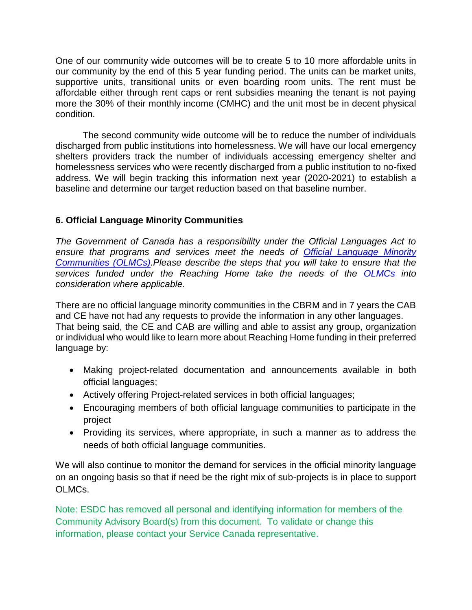One of our community wide outcomes will be to create 5 to 10 more affordable units in our community by the end of this 5 year funding period. The units can be market units, supportive units, transitional units or even boarding room units. The rent must be affordable either through rent caps or rent subsidies meaning the tenant is not paying more the 30% of their monthly income (CMHC) and the unit most be in decent physical condition.

The second community wide outcome will be to reduce the number of individuals discharged from public institutions into homelessness. We will have our local emergency shelters providers track the number of individuals accessing emergency shelter and homelessness services who were recently discharged from a public institution to no-fixed address. We will begin tracking this information next year (2020-2021) to establish a baseline and determine our target reduction based on that baseline number.

## <span id="page-13-0"></span>**6. Official Language Minority Communities**

*The Government of Canada has a responsibility under the Official Languages Act to ensure that programs and services meet the needs of [Official Language Minority](https://www.canada.ca/en/employment-social-development/programs/homelessness/directives.html#h2.3-h3.7)  [Communities \(OLMCs\).](https://www.canada.ca/en/employment-social-development/programs/homelessness/directives.html#h2.3-h3.7)Please describe the steps that you will take to ensure that the services funded under the Reaching Home take the needs of the [OLMCs](https://www.canada.ca/en/employment-social-development/programs/homelessness/directives.html#h2.3-h3.7) into consideration where applicable.*

There are no official language minority communities in the CBRM and in 7 years the CAB and CE have not had any requests to provide the information in any other languages. That being said, the CE and CAB are willing and able to assist any group, organization or individual who would like to learn more about Reaching Home funding in their preferred language by:

- Making project-related documentation and announcements available in both official languages;
- Actively offering Project-related services in both official languages;
- Encouraging members of both official language communities to participate in the project
- Providing its services, where appropriate, in such a manner as to address the needs of both official language communities.

We will also continue to monitor the demand for services in the official minority language on an ongoing basis so that if need be the right mix of sub-projects is in place to support OLMCs.

Note: ESDC has removed all personal and identifying information for members of the Community Advisory Board(s) from this document. To validate or change this information, please contact your Service Canada representative.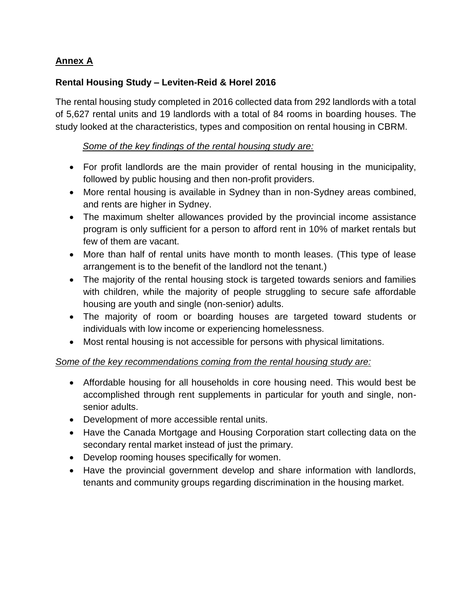# **Annex A**

# **Rental Housing Study – Leviten-Reid & Horel 2016**

The rental housing study completed in 2016 collected data from 292 landlords with a total of 5,627 rental units and 19 landlords with a total of 84 rooms in boarding houses. The study looked at the characteristics, types and composition on rental housing in CBRM.

## *Some of the key findings of the rental housing study are:*

- For profit landlords are the main provider of rental housing in the municipality, followed by public housing and then non-profit providers.
- More rental housing is available in Sydney than in non-Sydney areas combined, and rents are higher in Sydney.
- The maximum shelter allowances provided by the provincial income assistance program is only sufficient for a person to afford rent in 10% of market rentals but few of them are vacant.
- More than half of rental units have month to month leases. (This type of lease arrangement is to the benefit of the landlord not the tenant.)
- The majority of the rental housing stock is targeted towards seniors and families with children, while the majority of people struggling to secure safe affordable housing are youth and single (non-senior) adults.
- The majority of room or boarding houses are targeted toward students or individuals with low income or experiencing homelessness.
- Most rental housing is not accessible for persons with physical limitations.

## *Some of the key recommendations coming from the rental housing study are:*

- Affordable housing for all households in core housing need. This would best be accomplished through rent supplements in particular for youth and single, nonsenior adults.
- Development of more accessible rental units.
- Have the Canada Mortgage and Housing Corporation start collecting data on the secondary rental market instead of just the primary.
- Develop rooming houses specifically for women.
- Have the provincial government develop and share information with landlords, tenants and community groups regarding discrimination in the housing market.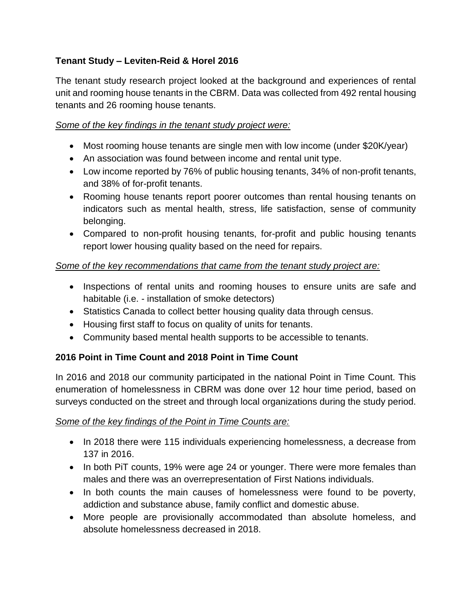# **Tenant Study – Leviten-Reid & Horel 2016**

The tenant study research project looked at the background and experiences of rental unit and rooming house tenants in the CBRM. Data was collected from 492 rental housing tenants and 26 rooming house tenants.

## *Some of the key findings in the tenant study project were:*

- Most rooming house tenants are single men with low income (under \$20K/year)
- An association was found between income and rental unit type.
- Low income reported by 76% of public housing tenants, 34% of non-profit tenants, and 38% of for-profit tenants.
- Rooming house tenants report poorer outcomes than rental housing tenants on indicators such as mental health, stress, life satisfaction, sense of community belonging.
- Compared to non-profit housing tenants, for-profit and public housing tenants report lower housing quality based on the need for repairs.

## *Some of the key recommendations that came from the tenant study project are:*

- Inspections of rental units and rooming houses to ensure units are safe and habitable (i.e. - installation of smoke detectors)
- Statistics Canada to collect better housing quality data through census.
- Housing first staff to focus on quality of units for tenants.
- Community based mental health supports to be accessible to tenants.

# **2016 Point in Time Count and 2018 Point in Time Count**

In 2016 and 2018 our community participated in the national Point in Time Count. This enumeration of homelessness in CBRM was done over 12 hour time period, based on surveys conducted on the street and through local organizations during the study period.

## *Some of the key findings of the Point in Time Counts are:*

- In 2018 there were 115 individuals experiencing homelessness, a decrease from 137 in 2016.
- In both PiT counts, 19% were age 24 or younger. There were more females than males and there was an overrepresentation of First Nations individuals.
- In both counts the main causes of homelessness were found to be poverty, addiction and substance abuse, family conflict and domestic abuse.
- More people are provisionally accommodated than absolute homeless, and absolute homelessness decreased in 2018.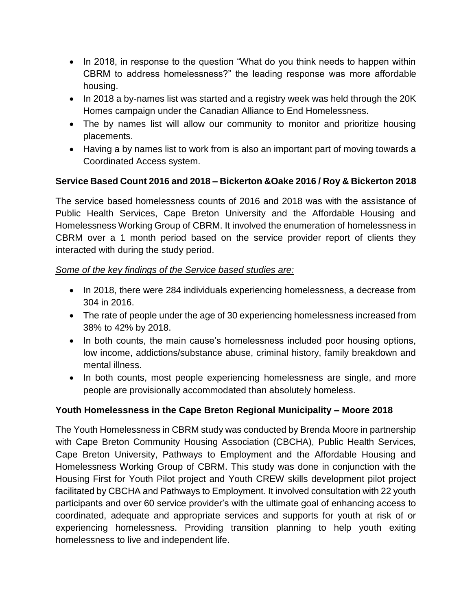- In 2018, in response to the question "What do you think needs to happen within CBRM to address homelessness?" the leading response was more affordable housing.
- In 2018 a by-names list was started and a registry week was held through the 20K Homes campaign under the Canadian Alliance to End Homelessness.
- The by names list will allow our community to monitor and prioritize housing placements.
- Having a by names list to work from is also an important part of moving towards a Coordinated Access system.

## **Service Based Count 2016 and 2018 – Bickerton &Oake 2016 / Roy & Bickerton 2018**

The service based homelessness counts of 2016 and 2018 was with the assistance of Public Health Services, Cape Breton University and the Affordable Housing and Homelessness Working Group of CBRM. It involved the enumeration of homelessness in CBRM over a 1 month period based on the service provider report of clients they interacted with during the study period.

## *Some of the key findings of the Service based studies are:*

- In 2018, there were 284 individuals experiencing homelessness, a decrease from 304 in 2016.
- The rate of people under the age of 30 experiencing homelessness increased from 38% to 42% by 2018.
- In both counts, the main cause's homelessness included poor housing options, low income, addictions/substance abuse, criminal history, family breakdown and mental illness.
- In both counts, most people experiencing homelessness are single, and more people are provisionally accommodated than absolutely homeless.

## **Youth Homelessness in the Cape Breton Regional Municipality – Moore 2018**

The Youth Homelessness in CBRM study was conducted by Brenda Moore in partnership with Cape Breton Community Housing Association (CBCHA), Public Health Services, Cape Breton University, Pathways to Employment and the Affordable Housing and Homelessness Working Group of CBRM. This study was done in conjunction with the Housing First for Youth Pilot project and Youth CREW skills development pilot project facilitated by CBCHA and Pathways to Employment. It involved consultation with 22 youth participants and over 60 service provider's with the ultimate goal of enhancing access to coordinated, adequate and appropriate services and supports for youth at risk of or experiencing homelessness. Providing transition planning to help youth exiting homelessness to live and independent life.